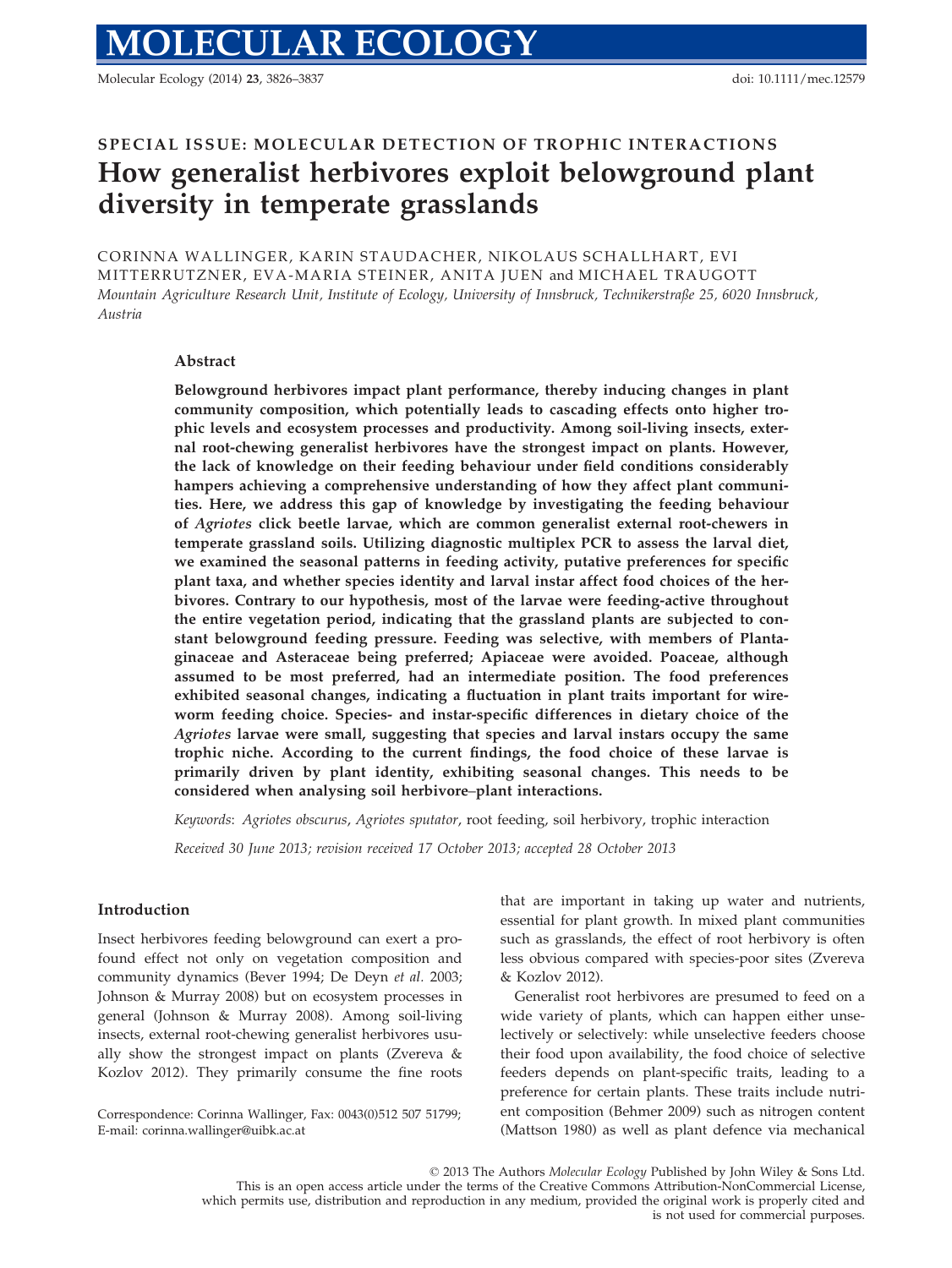Molecular Ecology (2014) 23, 3826–3837 doi: 10.1111/mec.12579

# SPECIAL ISSUE: MOLECULAR DETECTION OF TROPHIC INTERACTIONS How generalist herbivores exploit belowground plant diversity in temperate grasslands

CORINNA WALLINGER, KARIN STAUDACHER, NIKOLAUS SCHALLHART, EVI MITTERRUTZNER, EVA-MARIA STEINER, ANITA JUEN and MICHAEL TRAUGOTT Mountain Agriculture Research Unit, Institute of Ecology, University of Innsbruck, Technikerstraße 25, 6020 Innsbruck, Austria

# Abstract

Belowground herbivores impact plant performance, thereby inducing changes in plant community composition, which potentially leads to cascading effects onto higher trophic levels and ecosystem processes and productivity. Among soil-living insects, external root-chewing generalist herbivores have the strongest impact on plants. However, the lack of knowledge on their feeding behaviour under field conditions considerably hampers achieving a comprehensive understanding of how they affect plant communities. Here, we address this gap of knowledge by investigating the feeding behaviour of Agriotes click beetle larvae, which are common generalist external root-chewers in temperate grassland soils. Utilizing diagnostic multiplex PCR to assess the larval diet, we examined the seasonal patterns in feeding activity, putative preferences for specific plant taxa, and whether species identity and larval instar affect food choices of the herbivores. Contrary to our hypothesis, most of the larvae were feeding-active throughout the entire vegetation period, indicating that the grassland plants are subjected to constant belowground feeding pressure. Feeding was selective, with members of Plantaginaceae and Asteraceae being preferred; Apiaceae were avoided. Poaceae, although assumed to be most preferred, had an intermediate position. The food preferences exhibited seasonal changes, indicating a fluctuation in plant traits important for wireworm feeding choice. Species- and instar-specific differences in dietary choice of the Agriotes larvae were small, suggesting that species and larval instars occupy the same trophic niche. According to the current findings, the food choice of these larvae is primarily driven by plant identity, exhibiting seasonal changes. This needs to be considered when analysing soil herbivore–plant interactions.

Keywords: Agriotes obscurus, Agriotes sputator, root feeding, soil herbivory, trophic interaction

Received 30 June 2013; revision received 17 October 2013; accepted 28 October 2013

# Introduction

Insect herbivores feeding belowground can exert a profound effect not only on vegetation composition and community dynamics (Bever 1994; De Deyn et al. 2003; Johnson & Murray 2008) but on ecosystem processes in general (Johnson & Murray 2008). Among soil-living insects, external root-chewing generalist herbivores usually show the strongest impact on plants (Zvereva & Kozlov 2012). They primarily consume the fine roots

Correspondence: Corinna Wallinger, Fax: 0043(0)512 507 51799; E-mail: corinna.wallinger@uibk.ac.at

that are important in taking up water and nutrients, essential for plant growth. In mixed plant communities such as grasslands, the effect of root herbivory is often less obvious compared with species-poor sites (Zvereva  $&$  Kozlov 2012).

Generalist root herbivores are presumed to feed on a wide variety of plants, which can happen either unselectively or selectively: while unselective feeders choose their food upon availability, the food choice of selective feeders depends on plant-specific traits, leading to a preference for certain plants. These traits include nutrient composition (Behmer 2009) such as nitrogen content (Mattson 1980) as well as plant defence via mechanical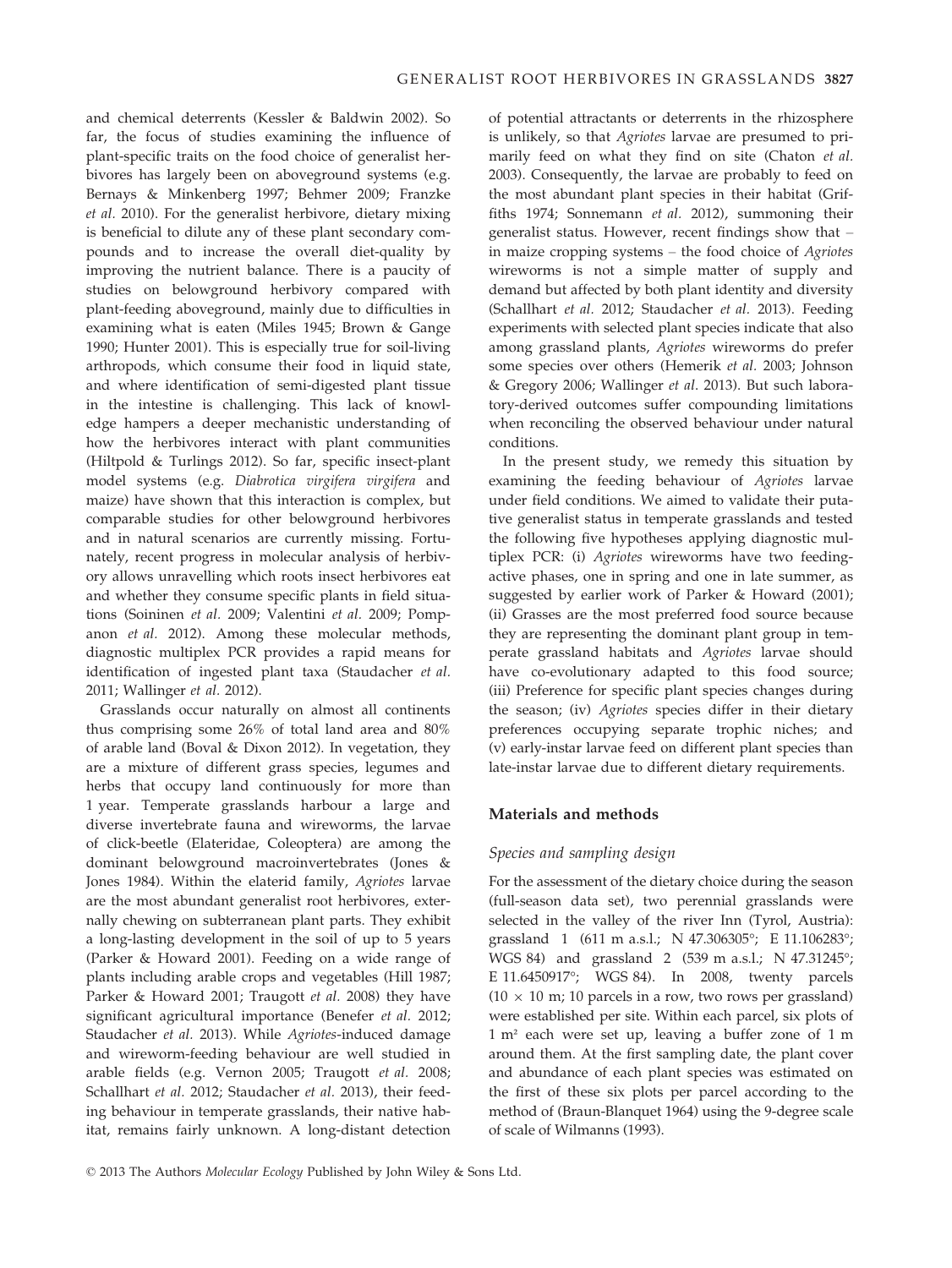and chemical deterrents (Kessler & Baldwin 2002). So far, the focus of studies examining the influence of plant-specific traits on the food choice of generalist herbivores has largely been on aboveground systems (e.g. Bernays & Minkenberg 1997; Behmer 2009; Franzke et al. 2010). For the generalist herbivore, dietary mixing is beneficial to dilute any of these plant secondary compounds and to increase the overall diet-quality by improving the nutrient balance. There is a paucity of studies on belowground herbivory compared with plant-feeding aboveground, mainly due to difficulties in examining what is eaten (Miles 1945; Brown & Gange 1990; Hunter 2001). This is especially true for soil-living arthropods, which consume their food in liquid state, and where identification of semi-digested plant tissue in the intestine is challenging. This lack of knowledge hampers a deeper mechanistic understanding of how the herbivores interact with plant communities (Hiltpold & Turlings 2012). So far, specific insect-plant model systems (e.g. Diabrotica virgifera virgifera and maize) have shown that this interaction is complex, but comparable studies for other belowground herbivores and in natural scenarios are currently missing. Fortunately, recent progress in molecular analysis of herbivory allows unravelling which roots insect herbivores eat and whether they consume specific plants in field situations (Soininen et al. 2009; Valentini et al. 2009; Pompanon et al. 2012). Among these molecular methods, diagnostic multiplex PCR provides a rapid means for identification of ingested plant taxa (Staudacher et al. 2011; Wallinger et al. 2012).

Grasslands occur naturally on almost all continents thus comprising some 26% of total land area and 80% of arable land (Boval & Dixon 2012). In vegetation, they are a mixture of different grass species, legumes and herbs that occupy land continuously for more than 1 year. Temperate grasslands harbour a large and diverse invertebrate fauna and wireworms, the larvae of click-beetle (Elateridae, Coleoptera) are among the dominant belowground macroinvertebrates (Jones & Jones 1984). Within the elaterid family, Agriotes larvae are the most abundant generalist root herbivores, externally chewing on subterranean plant parts. They exhibit a long-lasting development in the soil of up to 5 years (Parker & Howard 2001). Feeding on a wide range of plants including arable crops and vegetables (Hill 1987; Parker & Howard 2001; Traugott et al. 2008) they have significant agricultural importance (Benefer et al. 2012; Staudacher et al. 2013). While Agriotes-induced damage and wireworm-feeding behaviour are well studied in arable fields (e.g. Vernon 2005; Traugott et al. 2008; Schallhart et al. 2012; Staudacher et al. 2013), their feeding behaviour in temperate grasslands, their native habitat, remains fairly unknown. A long-distant detection

of potential attractants or deterrents in the rhizosphere is unlikely, so that Agriotes larvae are presumed to primarily feed on what they find on site (Chaton et al. 2003). Consequently, the larvae are probably to feed on the most abundant plant species in their habitat (Griffiths 1974; Sonnemann et al. 2012), summoning their generalist status. However, recent findings show that – in maize cropping systems – the food choice of Agriotes wireworms is not a simple matter of supply and demand but affected by both plant identity and diversity (Schallhart et al. 2012; Staudacher et al. 2013). Feeding experiments with selected plant species indicate that also among grassland plants, Agriotes wireworms do prefer some species over others (Hemerik et al. 2003; Johnson & Gregory 2006; Wallinger et al. 2013). But such laboratory-derived outcomes suffer compounding limitations when reconciling the observed behaviour under natural conditions.

In the present study, we remedy this situation by examining the feeding behaviour of Agriotes larvae under field conditions. We aimed to validate their putative generalist status in temperate grasslands and tested the following five hypotheses applying diagnostic multiplex PCR: (i) Agriotes wireworms have two feedingactive phases, one in spring and one in late summer, as suggested by earlier work of Parker & Howard (2001); (ii) Grasses are the most preferred food source because they are representing the dominant plant group in temperate grassland habitats and Agriotes larvae should have co-evolutionary adapted to this food source; (iii) Preference for specific plant species changes during the season; (iv) Agriotes species differ in their dietary preferences occupying separate trophic niches; and (v) early-instar larvae feed on different plant species than late-instar larvae due to different dietary requirements.

## Materials and methods

## Species and sampling design

For the assessment of the dietary choice during the season (full-season data set), two perennial grasslands were selected in the valley of the river Inn (Tyrol, Austria): grassland 1 (611 m a.s.l.; N 47.306305°; E 11.106283°; WGS 84) and grassland 2 (539 m a.s.l.; N 47.31245°; E 11.6450917°; WGS 84). In 2008, twenty parcels  $(10 \times 10 \text{ m})$ ; 10 parcels in a row, two rows per grassland) were established per site. Within each parcel, six plots of 1 m² each were set up, leaving a buffer zone of 1 m around them. At the first sampling date, the plant cover and abundance of each plant species was estimated on the first of these six plots per parcel according to the method of (Braun-Blanquet 1964) using the 9-degree scale of scale of Wilmanns (1993).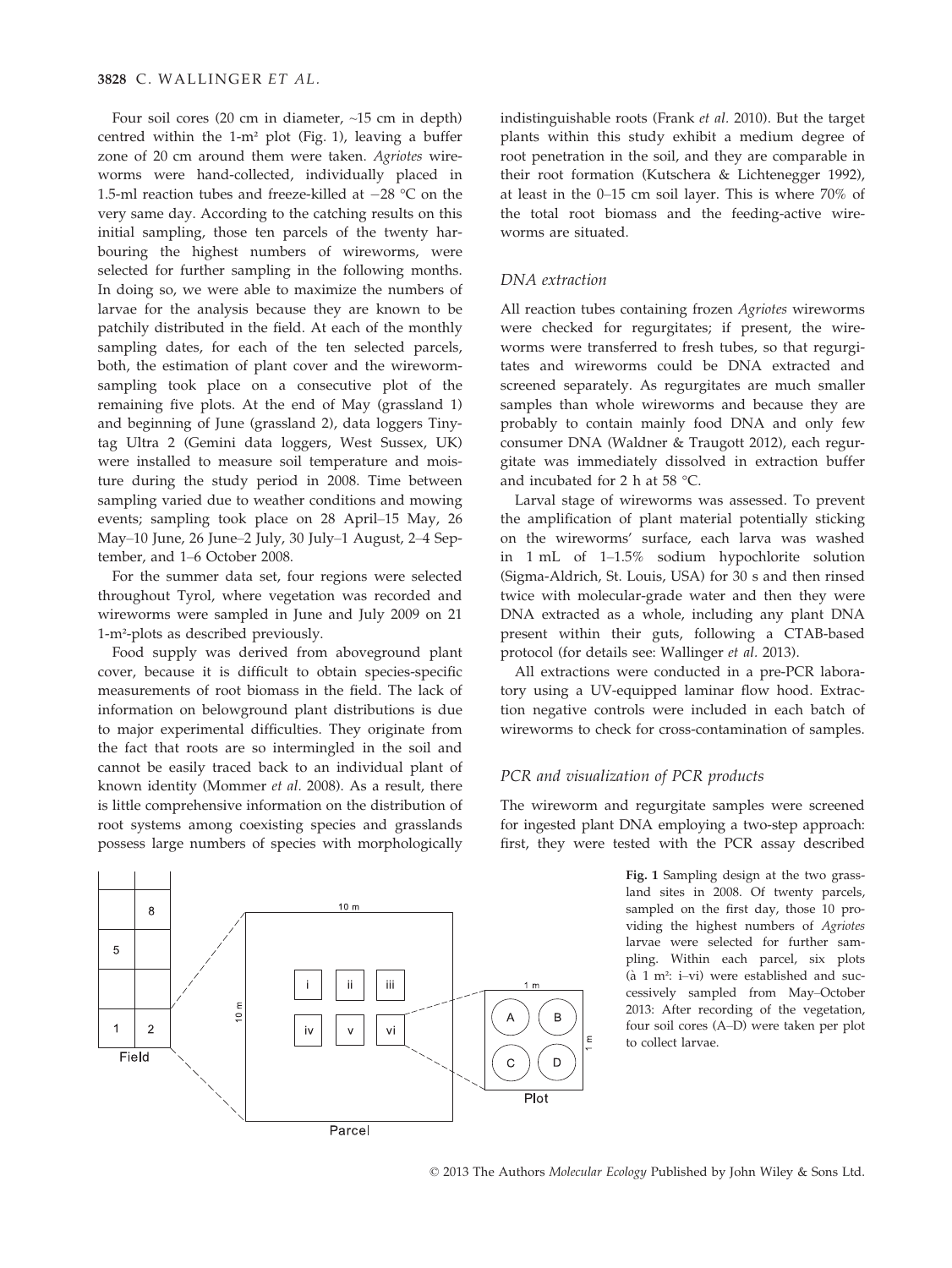Four soil cores (20 cm in diameter, ~15 cm in depth) centred within the 1-m² plot (Fig. 1), leaving a buffer zone of 20 cm around them were taken. Agriotes wireworms were hand-collected, individually placed in 1.5-ml reaction tubes and freeze-killed at  $-28$  °C on the very same day. According to the catching results on this initial sampling, those ten parcels of the twenty harbouring the highest numbers of wireworms, were selected for further sampling in the following months. In doing so, we were able to maximize the numbers of larvae for the analysis because they are known to be patchily distributed in the field. At each of the monthly sampling dates, for each of the ten selected parcels, both, the estimation of plant cover and the wirewormsampling took place on a consecutive plot of the remaining five plots. At the end of May (grassland 1) and beginning of June (grassland 2), data loggers Tinytag Ultra 2 (Gemini data loggers, West Sussex, UK) were installed to measure soil temperature and moisture during the study period in 2008. Time between sampling varied due to weather conditions and mowing events; sampling took place on 28 April–15 May, 26 May–10 June, 26 June–2 July, 30 July–1 August, 2–4 September, and 1–6 October 2008.

For the summer data set, four regions were selected throughout Tyrol, where vegetation was recorded and wireworms were sampled in June and July 2009 on 21 1-m²-plots as described previously.

Food supply was derived from aboveground plant cover, because it is difficult to obtain species-specific measurements of root biomass in the field. The lack of information on belowground plant distributions is due to major experimental difficulties. They originate from the fact that roots are so intermingled in the soil and cannot be easily traced back to an individual plant of known identity (Mommer et al. 2008). As a result, there is little comprehensive information on the distribution of root systems among coexisting species and grasslands possess large numbers of species with morphologically

8  $10<sub>m</sub>$ 5 iii ji lπ  $10<sub>m</sub>$ B  $\overline{1}$  $\overline{2}$ vi Field  $\mathsf{C}$  $\Box$ Plot Parcel

indistinguishable roots (Frank et al. 2010). But the target plants within this study exhibit a medium degree of root penetration in the soil, and they are comparable in their root formation (Kutschera & Lichtenegger 1992), at least in the 0–15 cm soil layer. This is where 70% of the total root biomass and the feeding-active wireworms are situated.

# DNA extraction

All reaction tubes containing frozen Agriotes wireworms were checked for regurgitates; if present, the wireworms were transferred to fresh tubes, so that regurgitates and wireworms could be DNA extracted and screened separately. As regurgitates are much smaller samples than whole wireworms and because they are probably to contain mainly food DNA and only few consumer DNA (Waldner & Traugott 2012), each regurgitate was immediately dissolved in extraction buffer and incubated for 2 h at 58 °C.

Larval stage of wireworms was assessed. To prevent the amplification of plant material potentially sticking on the wireworms' surface, each larva was washed in 1 mL of 1–1.5% sodium hypochlorite solution (Sigma-Aldrich, St. Louis, USA) for 30 s and then rinsed twice with molecular-grade water and then they were DNA extracted as a whole, including any plant DNA present within their guts, following a CTAB-based protocol (for details see: Wallinger et al. 2013).

All extractions were conducted in a pre-PCR laboratory using a UV-equipped laminar flow hood. Extraction negative controls were included in each batch of wireworms to check for cross-contamination of samples.

#### PCR and visualization of PCR products

The wireworm and regurgitate samples were screened for ingested plant DNA employing a two-step approach: first, they were tested with the PCR assay described

> Fig. 1 Sampling design at the two grassland sites in 2008. Of twenty parcels, sampled on the first day, those 10 providing the highest numbers of Agriotes larvae were selected for further sampling. Within each parcel, six plots ( $\lambda$  1 m<sup>2</sup>: i–vi) were established and successively sampled from May–October 2013: After recording of the vegetation, four soil cores (A–D) were taken per plot to collect larvae.

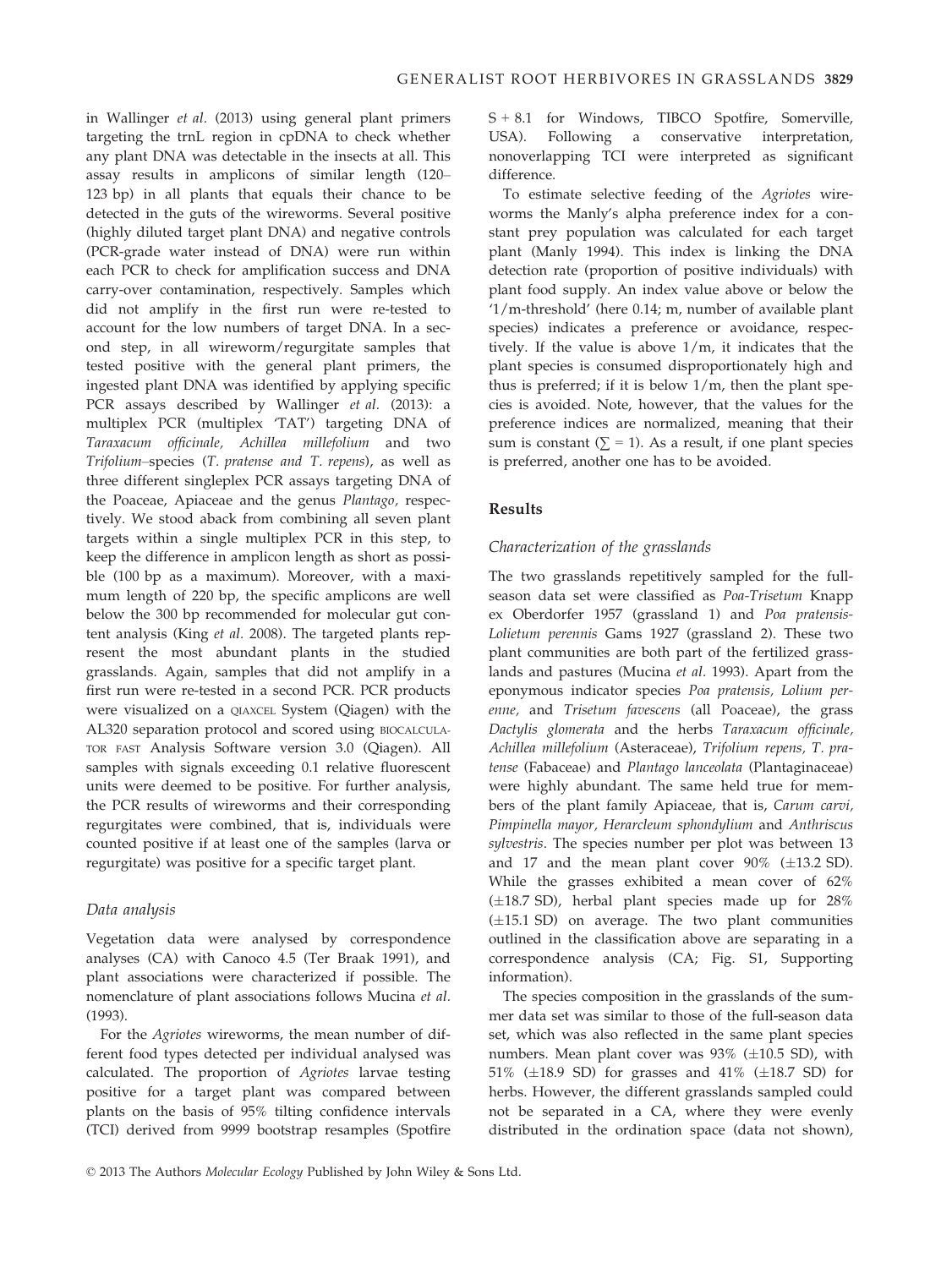in Wallinger et al. (2013) using general plant primers targeting the trnL region in cpDNA to check whether any plant DNA was detectable in the insects at all. This assay results in amplicons of similar length (120– 123 bp) in all plants that equals their chance to be detected in the guts of the wireworms. Several positive (highly diluted target plant DNA) and negative controls (PCR-grade water instead of DNA) were run within each PCR to check for amplification success and DNA carry-over contamination, respectively. Samples which did not amplify in the first run were re-tested to account for the low numbers of target DNA. In a second step, in all wireworm/regurgitate samples that tested positive with the general plant primers, the ingested plant DNA was identified by applying specific PCR assays described by Wallinger et al. (2013): a multiplex PCR (multiplex 'TAT') targeting DNA of Taraxacum officinale, Achillea millefolium and two Trifolium–species (T. pratense and T. repens), as well as three different singleplex PCR assays targeting DNA of the Poaceae, Apiaceae and the genus Plantago, respectively. We stood aback from combining all seven plant targets within a single multiplex PCR in this step, to keep the difference in amplicon length as short as possible (100 bp as a maximum). Moreover, with a maximum length of 220 bp, the specific amplicons are well below the 300 bp recommended for molecular gut content analysis (King et al. 2008). The targeted plants represent the most abundant plants in the studied grasslands. Again, samples that did not amplify in a first run were re-tested in a second PCR. PCR products were visualized on a QIAXCEL System (Qiagen) with the AL320 separation protocol and scored using BIOCALCULA-TOR FAST Analysis Software version 3.0 (Qiagen). All samples with signals exceeding 0.1 relative fluorescent units were deemed to be positive. For further analysis, the PCR results of wireworms and their corresponding regurgitates were combined, that is, individuals were counted positive if at least one of the samples (larva or regurgitate) was positive for a specific target plant.

## Data analysis

Vegetation data were analysed by correspondence analyses (CA) with Canoco 4.5 (Ter Braak 1991), and plant associations were characterized if possible. The nomenclature of plant associations follows Mucina et al. (1993).

For the Agriotes wireworms, the mean number of different food types detected per individual analysed was calculated. The proportion of Agriotes larvae testing positive for a target plant was compared between plants on the basis of 95% tilting confidence intervals (TCI) derived from 9999 bootstrap resamples (Spotfire S + 8.1 for Windows, TIBCO Spotfire, Somerville, USA). Following a conservative interpretation, nonoverlapping TCI were interpreted as significant difference.

To estimate selective feeding of the Agriotes wireworms the Manly's alpha preference index for a constant prey population was calculated for each target plant (Manly 1994). This index is linking the DNA detection rate (proportion of positive individuals) with plant food supply. An index value above or below the '1/m-threshold' (here 0.14; m, number of available plant species) indicates a preference or avoidance, respectively. If the value is above 1/m, it indicates that the plant species is consumed disproportionately high and thus is preferred; if it is below 1/m, then the plant species is avoided. Note, however, that the values for the preference indices are normalized, meaning that their sum is constant ( $\Sigma = 1$ ). As a result, if one plant species is preferred, another one has to be avoided.

## Results

## Characterization of the grasslands

The two grasslands repetitively sampled for the fullseason data set were classified as Poa-Trisetum Knapp ex Oberdorfer 1957 (grassland 1) and Poa pratensis-Lolietum perennis Gams 1927 (grassland 2). These two plant communities are both part of the fertilized grasslands and pastures (Mucina et al. 1993). Apart from the eponymous indicator species Poa pratensis, Lolium perenne, and Trisetum favescens (all Poaceae), the grass Dactylis glomerata and the herbs Taraxacum officinale, Achillea millefolium (Asteraceae), Trifolium repens, T. pratense (Fabaceae) and Plantago lanceolata (Plantaginaceae) were highly abundant. The same held true for members of the plant family Apiaceae, that is, Carum carvi, Pimpinella mayor, Herarcleum sphondylium and Anthriscus sylvestris. The species number per plot was between 13 and 17 and the mean plant cover  $90\%$  ( $\pm$ 13.2 SD). While the grasses exhibited a mean cover of 62%  $(\pm 18.7$  SD), herbal plant species made up for 28%  $(\pm 15.1$  SD) on average. The two plant communities outlined in the classification above are separating in a correspondence analysis (CA; Fig. S1, Supporting information).

The species composition in the grasslands of the summer data set was similar to those of the full-season data set, which was also reflected in the same plant species numbers. Mean plant cover was  $93\%$  ( $\pm 10.5$  SD), with 51% ( $\pm$ 18.9 SD) for grasses and 41% ( $\pm$ 18.7 SD) for herbs. However, the different grasslands sampled could not be separated in a CA, where they were evenly distributed in the ordination space (data not shown),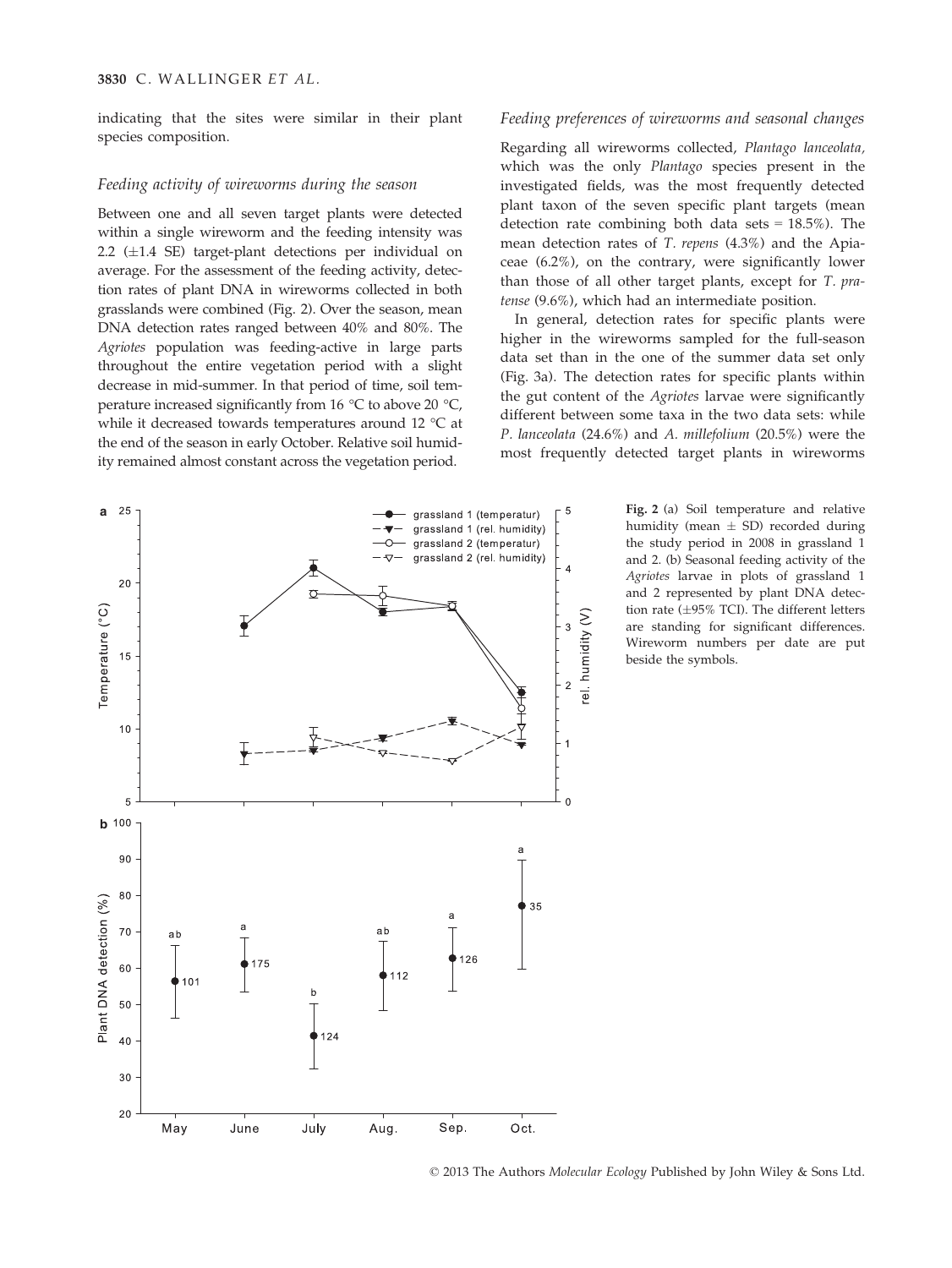indicating that the sites were similar in their plant species composition.

#### Feeding activity of wireworms during the season

Between one and all seven target plants were detected within a single wireworm and the feeding intensity was 2.2 ( $\pm$ 1.4 SE) target-plant detections per individual on average. For the assessment of the feeding activity, detection rates of plant DNA in wireworms collected in both grasslands were combined (Fig. 2). Over the season, mean DNA detection rates ranged between 40% and 80%. The Agriotes population was feeding-active in large parts throughout the entire vegetation period with a slight decrease in mid-summer. In that period of time, soil temperature increased significantly from 16 °C to above 20 °C, while it decreased towards temperatures around 12 °C at the end of the season in early October. Relative soil humidity remained almost constant across the vegetation period.

#### Feeding preferences of wireworms and seasonal changes

Regarding all wireworms collected, Plantago lanceolata, which was the only Plantago species present in the investigated fields, was the most frequently detected plant taxon of the seven specific plant targets (mean detection rate combining both data sets  $= 18.5\%$ ). The mean detection rates of T. repens (4.3%) and the Apiaceae (6.2%), on the contrary, were significantly lower than those of all other target plants, except for T. pratense (9.6%), which had an intermediate position.

In general, detection rates for specific plants were higher in the wireworms sampled for the full-season data set than in the one of the summer data set only (Fig. 3a). The detection rates for specific plants within the gut content of the *Agriotes* larvae were significantly different between some taxa in the two data sets: while P. lanceolata (24.6%) and A. millefolium (20.5%) were the most frequently detected target plants in wireworms

> Fig. 2 (a) Soil temperature and relative humidity (mean  $\pm$  SD) recorded during the study period in 2008 in grassland 1 and 2. (b) Seasonal feeding activity of the Agriotes larvae in plots of grassland 1 and 2 represented by plant DNA detection rate ( $\pm 95\%$  TCI). The different letters are standing for significant differences. Wireworm numbers per date are put beside the symbols.



© 2013 The Authors Molecular Ecology Published by John Wiley & Sons Ltd.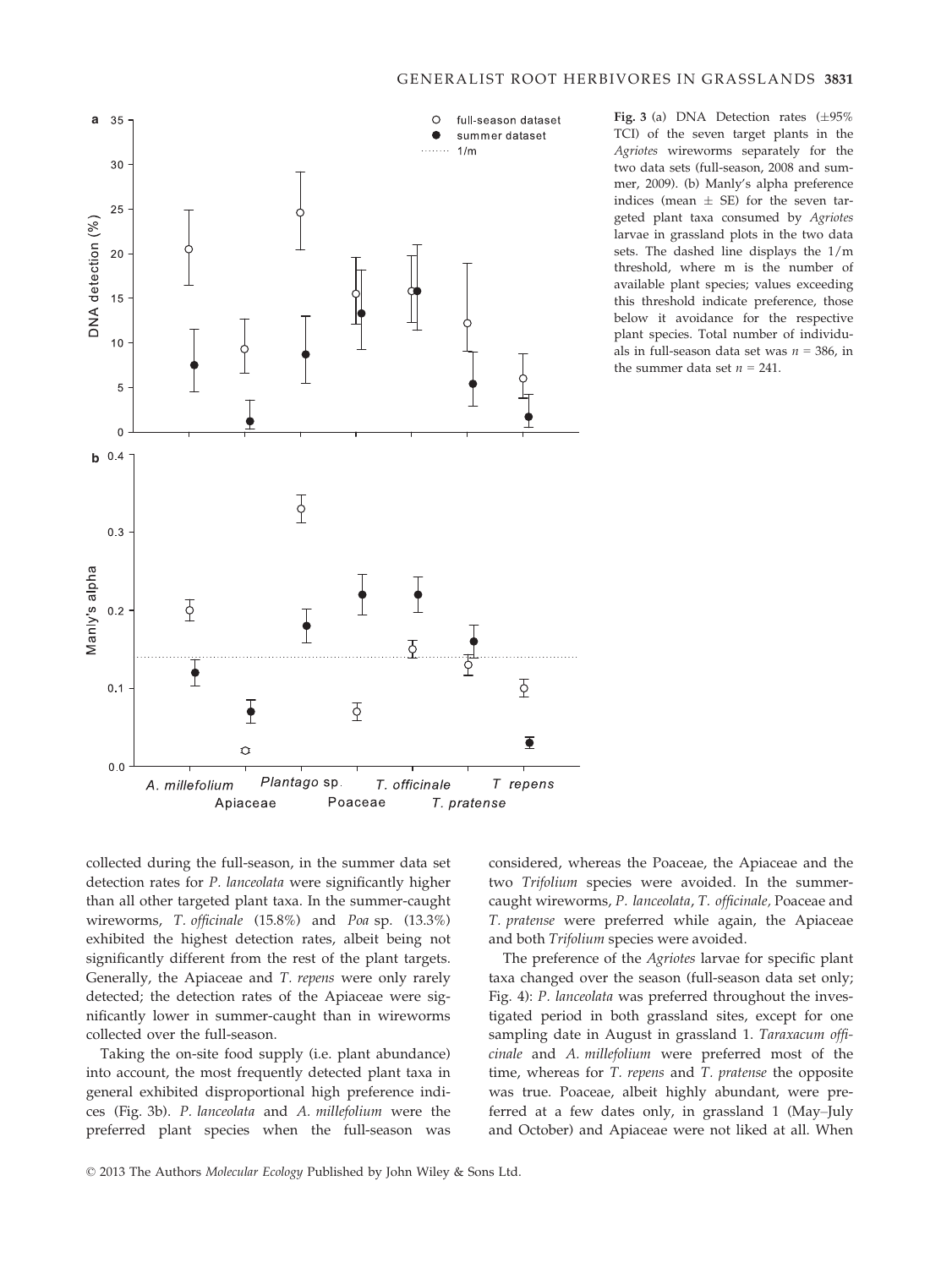

Fig. 3 (a) DNA Detection rates  $(\pm 95\%$ TCI) of the seven target plants in the Agriotes wireworms separately for the two data sets (full-season, 2008 and summer, 2009). (b) Manly's alpha preference indices (mean  $\pm$  SE) for the seven targeted plant taxa consumed by Agriotes larvae in grassland plots in the two data sets. The dashed line displays the 1/m threshold, where m is the number of available plant species; values exceeding this threshold indicate preference, those below it avoidance for the respective plant species. Total number of individuals in full-season data set was  $n = 386$ , in the summer data set  $n = 241$ .

collected during the full-season, in the summer data set detection rates for P. lanceolata were significantly higher than all other targeted plant taxa. In the summer-caught wireworms, T. officinale (15.8%) and Poa sp. (13.3%) exhibited the highest detection rates, albeit being not significantly different from the rest of the plant targets. Generally, the Apiaceae and T. repens were only rarely detected; the detection rates of the Apiaceae were significantly lower in summer-caught than in wireworms collected over the full-season.

Taking the on-site food supply (i.e. plant abundance) into account, the most frequently detected plant taxa in general exhibited disproportional high preference indices (Fig. 3b). P. lanceolata and A. millefolium were the preferred plant species when the full-season was considered, whereas the Poaceae, the Apiaceae and the two Trifolium species were avoided. In the summercaught wireworms, P. lanceolata, T. officinale, Poaceae and T. pratense were preferred while again, the Apiaceae and both Trifolium species were avoided.

The preference of the Agriotes larvae for specific plant taxa changed over the season (full-season data set only; Fig. 4): P. lanceolata was preferred throughout the investigated period in both grassland sites, except for one sampling date in August in grassland 1. Taraxacum officinale and A. millefolium were preferred most of the time, whereas for T. repens and T. pratense the opposite was true. Poaceae, albeit highly abundant, were preferred at a few dates only, in grassland 1 (May–July and October) and Apiaceae were not liked at all. When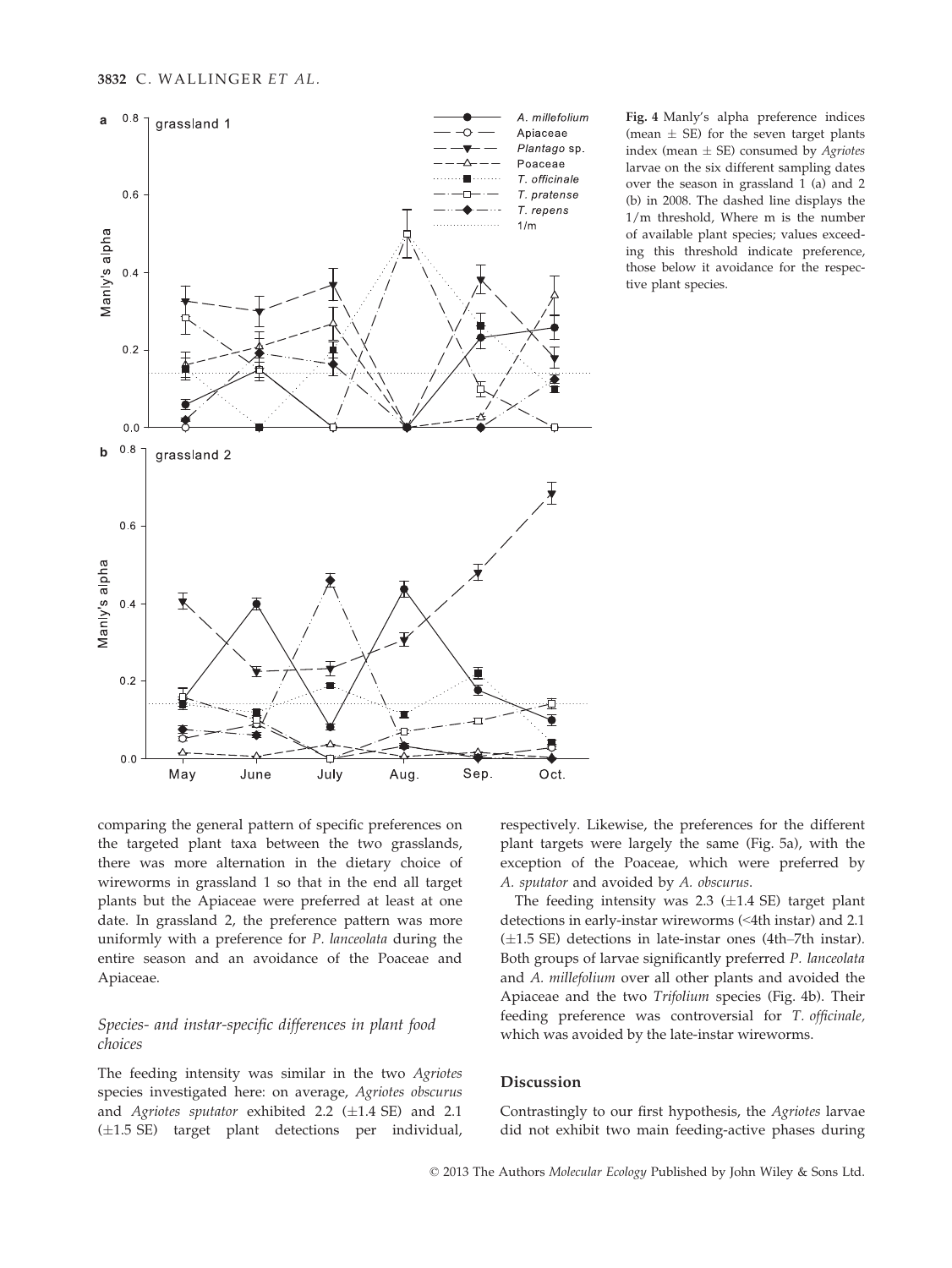

Fig. 4 Manly's alpha preference indices (mean  $\pm$  SE) for the seven target plants index (mean  $\pm$  SE) consumed by *Agriotes* larvae on the six different sampling dates over the season in grassland 1 (a) and 2 (b) in 2008. The dashed line displays the 1/m threshold, Where m is the number of available plant species; values exceeding this threshold indicate preference, those below it avoidance for the respective plant species.

comparing the general pattern of specific preferences on the targeted plant taxa between the two grasslands, there was more alternation in the dietary choice of wireworms in grassland 1 so that in the end all target plants but the Apiaceae were preferred at least at one date. In grassland 2, the preference pattern was more uniformly with a preference for P. lanceolata during the entire season and an avoidance of the Poaceae and Apiaceae.

# Species- and instar-specific differences in plant food choices

The feeding intensity was similar in the two Agriotes species investigated here: on average, Agriotes obscurus and Agriotes sputator exhibited 2.2  $(\pm 1.4$  SE) and 2.1  $(\pm 1.5 \text{ SE})$  target plant detections per individual, respectively. Likewise, the preferences for the different plant targets were largely the same (Fig. 5a), with the exception of the Poaceae, which were preferred by A. sputator and avoided by A. obscurus.

The feeding intensity was  $2.3$  ( $\pm 1.4$  SE) target plant detections in early-instar wireworms (<4th instar) and 2.1  $(\pm 1.5 \text{ SE})$  detections in late-instar ones (4th–7th instar). Both groups of larvae significantly preferred P. lanceolata and A. millefolium over all other plants and avoided the Apiaceae and the two Trifolium species (Fig. 4b). Their feeding preference was controversial for T. officinale, which was avoided by the late-instar wireworms.

#### Discussion

Contrastingly to our first hypothesis, the Agriotes larvae did not exhibit two main feeding-active phases during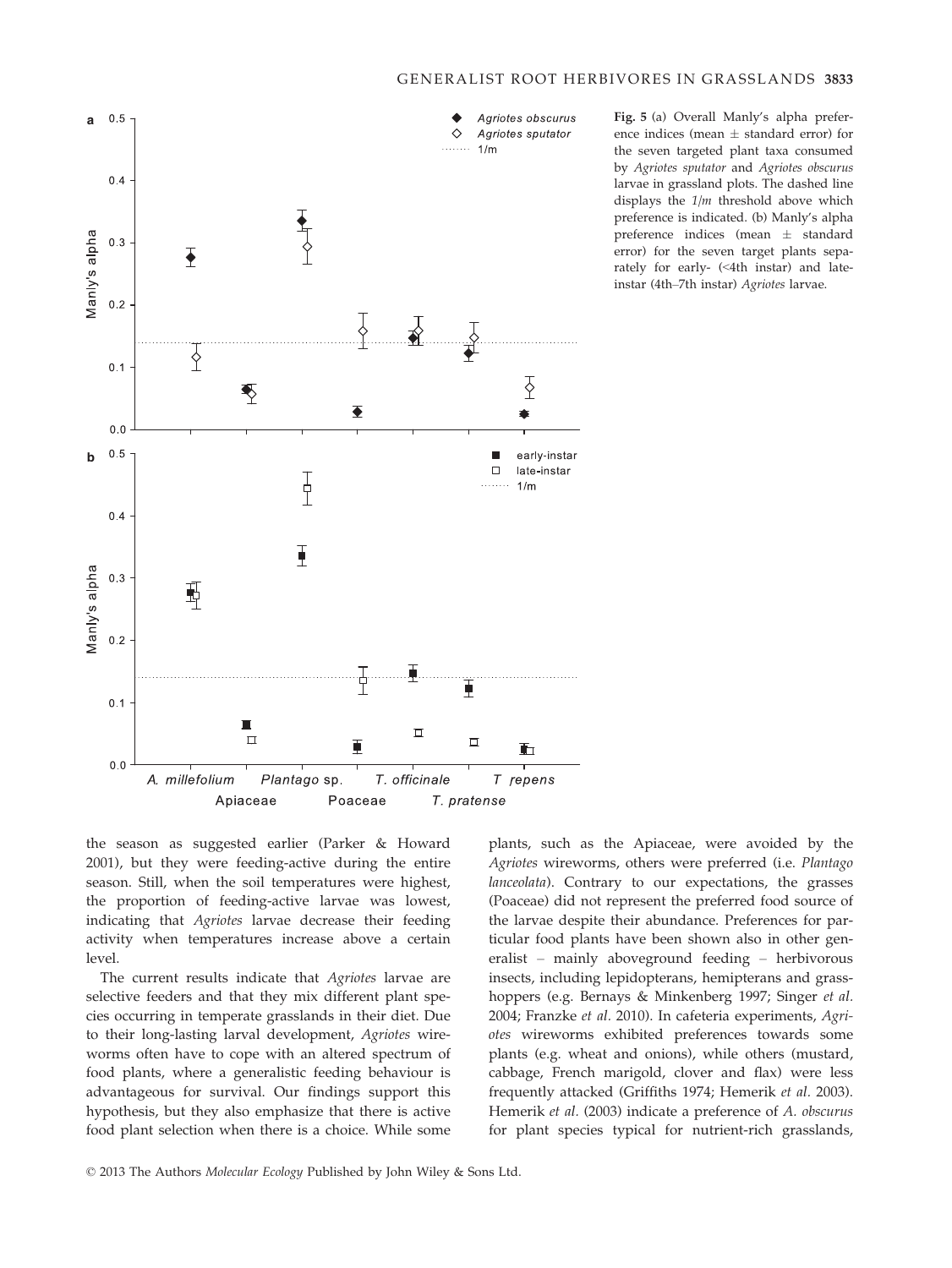

Fig. 5 (a) Overall Manly's alpha preference indices (mean  $\pm$  standard error) for the seven targeted plant taxa consumed by Agriotes sputator and Agriotes obscurus larvae in grassland plots. The dashed line displays the  $1/m$  threshold above which preference is indicated. (b) Manly's alpha preference indices (mean  $\pm$  standard error) for the seven target plants separately for early- (<4th instar) and lateinstar (4th–7th instar) Agriotes larvae.

the season as suggested earlier (Parker & Howard 2001), but they were feeding-active during the entire season. Still, when the soil temperatures were highest, the proportion of feeding-active larvae was lowest, indicating that Agriotes larvae decrease their feeding activity when temperatures increase above a certain level.

The current results indicate that Agriotes larvae are selective feeders and that they mix different plant species occurring in temperate grasslands in their diet. Due to their long-lasting larval development, Agriotes wireworms often have to cope with an altered spectrum of food plants, where a generalistic feeding behaviour is advantageous for survival. Our findings support this hypothesis, but they also emphasize that there is active food plant selection when there is a choice. While some

plants, such as the Apiaceae, were avoided by the Agriotes wireworms, others were preferred (i.e. Plantago lanceolata). Contrary to our expectations, the grasses (Poaceae) did not represent the preferred food source of the larvae despite their abundance. Preferences for particular food plants have been shown also in other generalist – mainly aboveground feeding – herbivorous insects, including lepidopterans, hemipterans and grasshoppers (e.g. Bernays & Minkenberg 1997; Singer et al. 2004; Franzke et al. 2010). In cafeteria experiments, Agriotes wireworms exhibited preferences towards some plants (e.g. wheat and onions), while others (mustard, cabbage, French marigold, clover and flax) were less frequently attacked (Griffiths 1974; Hemerik et al. 2003). Hemerik et al. (2003) indicate a preference of A. obscurus for plant species typical for nutrient-rich grasslands,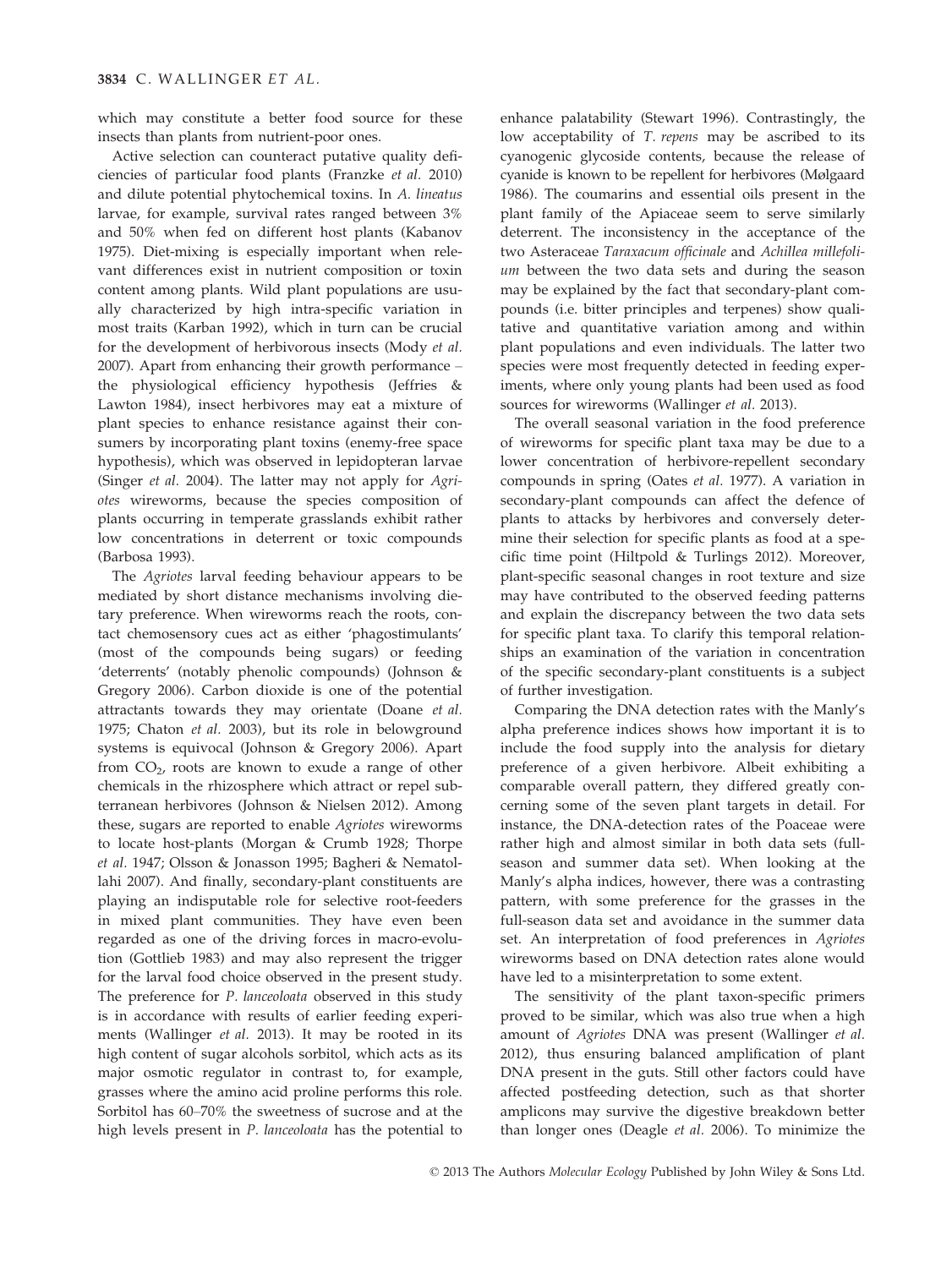which may constitute a better food source for these insects than plants from nutrient-poor ones.

Active selection can counteract putative quality deficiencies of particular food plants (Franzke et al. 2010) and dilute potential phytochemical toxins. In A. lineatus larvae, for example, survival rates ranged between 3% and 50% when fed on different host plants (Kabanov 1975). Diet-mixing is especially important when relevant differences exist in nutrient composition or toxin content among plants. Wild plant populations are usually characterized by high intra-specific variation in most traits (Karban 1992), which in turn can be crucial for the development of herbivorous insects (Mody et al. 2007). Apart from enhancing their growth performance – the physiological efficiency hypothesis (Jeffries & Lawton 1984), insect herbivores may eat a mixture of plant species to enhance resistance against their consumers by incorporating plant toxins (enemy-free space hypothesis), which was observed in lepidopteran larvae (Singer et al. 2004). The latter may not apply for Agriotes wireworms, because the species composition of plants occurring in temperate grasslands exhibit rather low concentrations in deterrent or toxic compounds (Barbosa 1993).

The Agriotes larval feeding behaviour appears to be mediated by short distance mechanisms involving dietary preference. When wireworms reach the roots, contact chemosensory cues act as either 'phagostimulants' (most of the compounds being sugars) or feeding 'deterrents' (notably phenolic compounds) (Johnson & Gregory 2006). Carbon dioxide is one of the potential attractants towards they may orientate (Doane et al. 1975; Chaton et al. 2003), but its role in belowground systems is equivocal (Johnson & Gregory 2006). Apart from  $CO<sub>2</sub>$ , roots are known to exude a range of other chemicals in the rhizosphere which attract or repel subterranean herbivores (Johnson & Nielsen 2012). Among these, sugars are reported to enable Agriotes wireworms to locate host-plants (Morgan & Crumb 1928; Thorpe et al. 1947; Olsson & Jonasson 1995; Bagheri & Nematollahi 2007). And finally, secondary-plant constituents are playing an indisputable role for selective root-feeders in mixed plant communities. They have even been regarded as one of the driving forces in macro-evolution (Gottlieb 1983) and may also represent the trigger for the larval food choice observed in the present study. The preference for P. lanceoloata observed in this study is in accordance with results of earlier feeding experiments (Wallinger et al. 2013). It may be rooted in its high content of sugar alcohols sorbitol, which acts as its major osmotic regulator in contrast to, for example, grasses where the amino acid proline performs this role. Sorbitol has 60–70% the sweetness of sucrose and at the high levels present in P. lanceoloata has the potential to

enhance palatability (Stewart 1996). Contrastingly, the low acceptability of T. repens may be ascribed to its cyanogenic glycoside contents, because the release of cyanide is known to be repellent for herbivores (Mølgaard 1986). The coumarins and essential oils present in the plant family of the Apiaceae seem to serve similarly deterrent. The inconsistency in the acceptance of the two Asteraceae Taraxacum officinale and Achillea millefolium between the two data sets and during the season may be explained by the fact that secondary-plant compounds (i.e. bitter principles and terpenes) show qualitative and quantitative variation among and within plant populations and even individuals. The latter two species were most frequently detected in feeding experiments, where only young plants had been used as food sources for wireworms (Wallinger et al. 2013).

The overall seasonal variation in the food preference of wireworms for specific plant taxa may be due to a lower concentration of herbivore-repellent secondary compounds in spring (Oates et al. 1977). A variation in secondary-plant compounds can affect the defence of plants to attacks by herbivores and conversely determine their selection for specific plants as food at a specific time point (Hiltpold & Turlings 2012). Moreover, plant-specific seasonal changes in root texture and size may have contributed to the observed feeding patterns and explain the discrepancy between the two data sets for specific plant taxa. To clarify this temporal relationships an examination of the variation in concentration of the specific secondary-plant constituents is a subject of further investigation.

Comparing the DNA detection rates with the Manly's alpha preference indices shows how important it is to include the food supply into the analysis for dietary preference of a given herbivore. Albeit exhibiting a comparable overall pattern, they differed greatly concerning some of the seven plant targets in detail. For instance, the DNA-detection rates of the Poaceae were rather high and almost similar in both data sets (fullseason and summer data set). When looking at the Manly's alpha indices, however, there was a contrasting pattern, with some preference for the grasses in the full-season data set and avoidance in the summer data set. An interpretation of food preferences in Agriotes wireworms based on DNA detection rates alone would have led to a misinterpretation to some extent.

The sensitivity of the plant taxon-specific primers proved to be similar, which was also true when a high amount of Agriotes DNA was present (Wallinger et al. 2012), thus ensuring balanced amplification of plant DNA present in the guts. Still other factors could have affected postfeeding detection, such as that shorter amplicons may survive the digestive breakdown better than longer ones (Deagle et al. 2006). To minimize the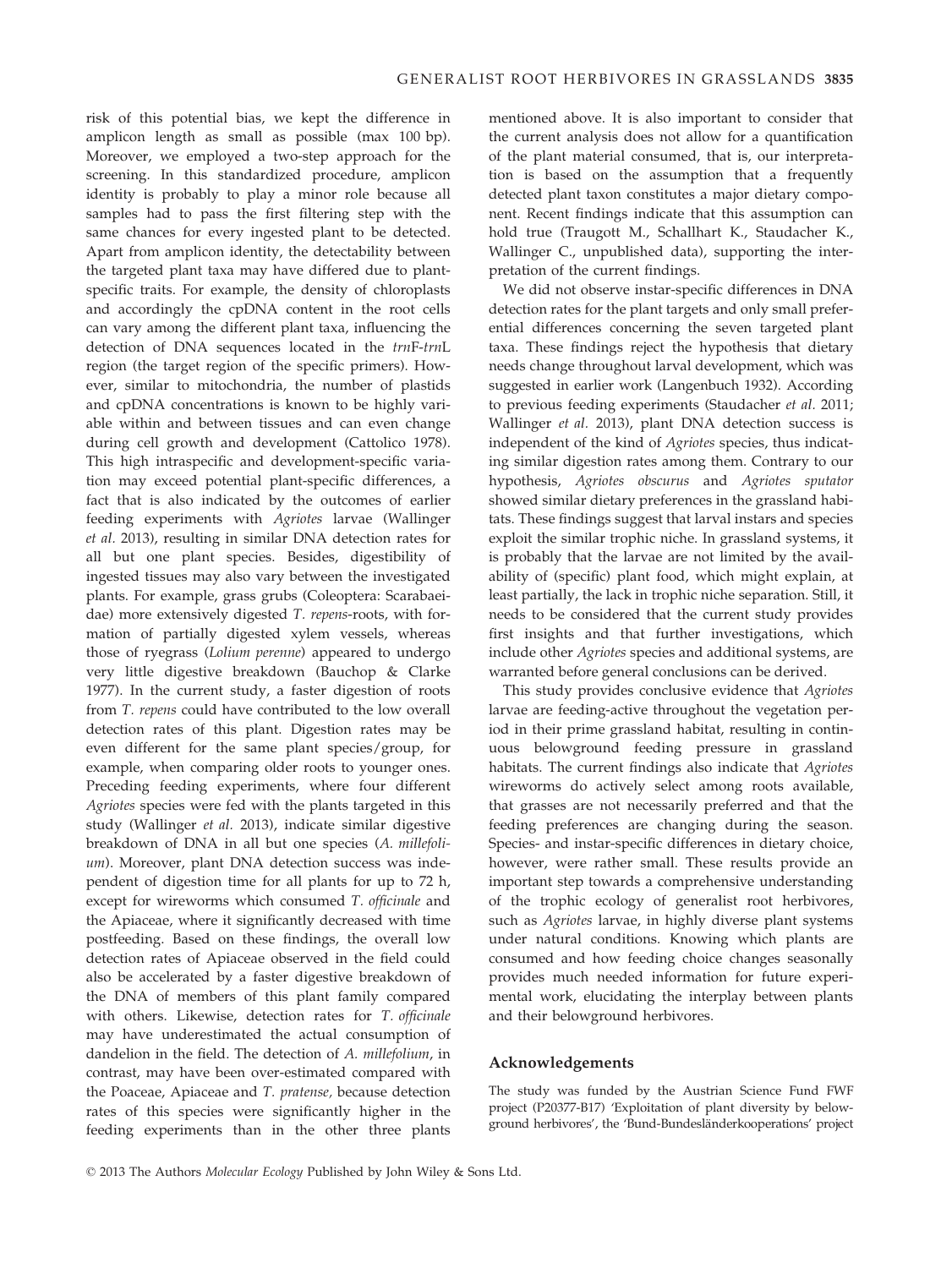risk of this potential bias, we kept the difference in amplicon length as small as possible (max 100 bp). Moreover, we employed a two-step approach for the screening. In this standardized procedure, amplicon identity is probably to play a minor role because all samples had to pass the first filtering step with the same chances for every ingested plant to be detected. Apart from amplicon identity, the detectability between the targeted plant taxa may have differed due to plantspecific traits. For example, the density of chloroplasts and accordingly the cpDNA content in the root cells can vary among the different plant taxa, influencing the detection of DNA sequences located in the trnF-trnL region (the target region of the specific primers). However, similar to mitochondria, the number of plastids and cpDNA concentrations is known to be highly variable within and between tissues and can even change during cell growth and development (Cattolico 1978). This high intraspecific and development-specific variation may exceed potential plant-specific differences, a fact that is also indicated by the outcomes of earlier feeding experiments with Agriotes larvae (Wallinger et al. 2013), resulting in similar DNA detection rates for all but one plant species. Besides, digestibility of ingested tissues may also vary between the investigated plants. For example, grass grubs (Coleoptera: Scarabaeidae) more extensively digested T. repens-roots, with formation of partially digested xylem vessels, whereas those of ryegrass (Lolium perenne) appeared to undergo very little digestive breakdown (Bauchop & Clarke 1977). In the current study, a faster digestion of roots from T. repens could have contributed to the low overall detection rates of this plant. Digestion rates may be even different for the same plant species/group, for example, when comparing older roots to younger ones. Preceding feeding experiments, where four different Agriotes species were fed with the plants targeted in this study (Wallinger et al. 2013), indicate similar digestive breakdown of DNA in all but one species (A. millefolium). Moreover, plant DNA detection success was independent of digestion time for all plants for up to 72 h, except for wireworms which consumed T. officinale and the Apiaceae, where it significantly decreased with time postfeeding. Based on these findings, the overall low detection rates of Apiaceae observed in the field could also be accelerated by a faster digestive breakdown of the DNA of members of this plant family compared with others. Likewise, detection rates for T. officinale may have underestimated the actual consumption of dandelion in the field. The detection of A. millefolium, in contrast, may have been over-estimated compared with the Poaceae, Apiaceae and T. pratense, because detection rates of this species were significantly higher in the feeding experiments than in the other three plants

mentioned above. It is also important to consider that the current analysis does not allow for a quantification of the plant material consumed, that is, our interpretation is based on the assumption that a frequently detected plant taxon constitutes a major dietary component. Recent findings indicate that this assumption can hold true (Traugott M., Schallhart K., Staudacher K., Wallinger C., unpublished data), supporting the interpretation of the current findings.

We did not observe instar-specific differences in DNA detection rates for the plant targets and only small preferential differences concerning the seven targeted plant taxa. These findings reject the hypothesis that dietary needs change throughout larval development, which was suggested in earlier work (Langenbuch 1932). According to previous feeding experiments (Staudacher et al. 2011; Wallinger et al. 2013), plant DNA detection success is independent of the kind of Agriotes species, thus indicating similar digestion rates among them. Contrary to our hypothesis, Agriotes obscurus and Agriotes sputator showed similar dietary preferences in the grassland habitats. These findings suggest that larval instars and species exploit the similar trophic niche. In grassland systems, it is probably that the larvae are not limited by the availability of (specific) plant food, which might explain, at least partially, the lack in trophic niche separation. Still, it needs to be considered that the current study provides first insights and that further investigations, which include other Agriotes species and additional systems, are warranted before general conclusions can be derived.

This study provides conclusive evidence that Agriotes larvae are feeding-active throughout the vegetation period in their prime grassland habitat, resulting in continuous belowground feeding pressure in grassland habitats. The current findings also indicate that Agriotes wireworms do actively select among roots available, that grasses are not necessarily preferred and that the feeding preferences are changing during the season. Species- and instar-specific differences in dietary choice, however, were rather small. These results provide an important step towards a comprehensive understanding of the trophic ecology of generalist root herbivores, such as Agriotes larvae, in highly diverse plant systems under natural conditions. Knowing which plants are consumed and how feeding choice changes seasonally provides much needed information for future experimental work, elucidating the interplay between plants and their belowground herbivores.

# Acknowledgements

The study was funded by the Austrian Science Fund FWF project (P20377-B17) 'Exploitation of plant diversity by belowground herbivores', the 'Bund-Bundesländerkooperations' project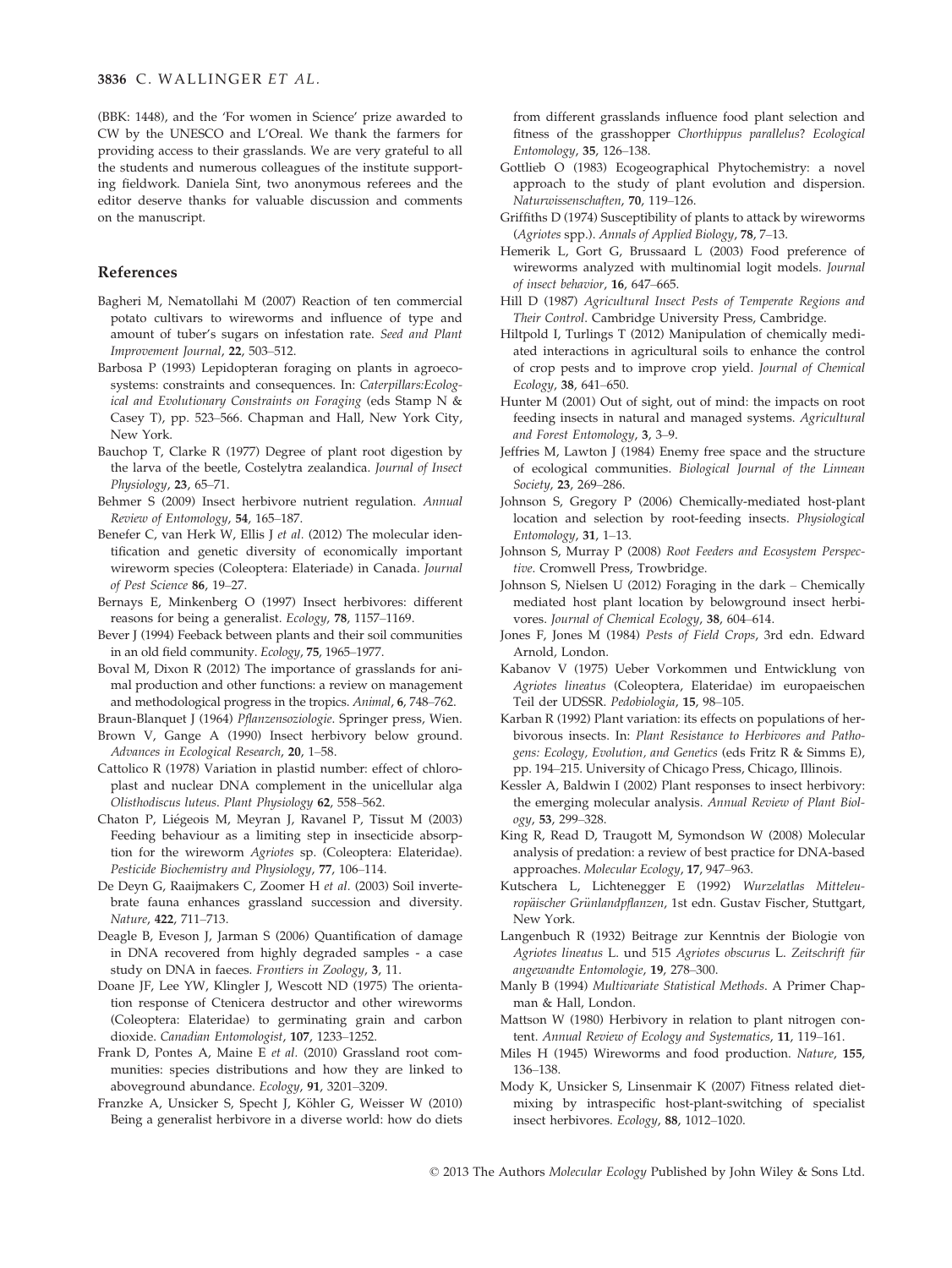(BBK: 1448), and the 'For women in Science' prize awarded to CW by the UNESCO and L'Oreal. We thank the farmers for providing access to their grasslands. We are very grateful to all the students and numerous colleagues of the institute supporting fieldwork. Daniela Sint, two anonymous referees and the editor deserve thanks for valuable discussion and comments on the manuscript.

#### References

- Bagheri M, Nematollahi M (2007) Reaction of ten commercial potato cultivars to wireworms and influence of type and amount of tuber's sugars on infestation rate. Seed and Plant Improvement Journal, 22, 503–512.
- Barbosa P (1993) Lepidopteran foraging on plants in agroecosystems: constraints and consequences. In: Caterpillars:Ecological and Evolutionary Constraints on Foraging (eds Stamp N & Casey T), pp. 523–566. Chapman and Hall, New York City, New York.
- Bauchop T, Clarke R (1977) Degree of plant root digestion by the larva of the beetle, Costelytra zealandica. Journal of Insect Physiology, 23, 65–71.
- Behmer S (2009) Insect herbivore nutrient regulation. Annual Review of Entomology, 54, 165–187.
- Benefer C, van Herk W, Ellis J et al. (2012) The molecular identification and genetic diversity of economically important wireworm species (Coleoptera: Elateriade) in Canada. Journal of Pest Science 86, 19–27.
- Bernays E, Minkenberg O (1997) Insect herbivores: different reasons for being a generalist. Ecology, 78, 1157–1169.
- Bever J (1994) Feeback between plants and their soil communities in an old field community. Ecology, 75, 1965–1977.
- Boval M, Dixon R (2012) The importance of grasslands for animal production and other functions: a review on management and methodological progress in the tropics. Animal, 6, 748–762.
- Braun-Blanquet J (1964) Pflanzensoziologie. Springer press, Wien.
- Brown V, Gange A (1990) Insect herbivory below ground. Advances in Ecological Research, 20, 1–58.
- Cattolico R (1978) Variation in plastid number: effect of chloroplast and nuclear DNA complement in the unicellular alga Olisthodiscus luteus. Plant Physiology 62, 558–562.
- Chaton P, Liegeois M, Meyran J, Ravanel P, Tissut M (2003) Feeding behaviour as a limiting step in insecticide absorption for the wireworm Agriotes sp. (Coleoptera: Elateridae). Pesticide Biochemistry and Physiology, 77, 106–114.
- De Deyn G, Raaijmakers C, Zoomer H et al. (2003) Soil invertebrate fauna enhances grassland succession and diversity. Nature, 422, 711–713.
- Deagle B, Eveson J, Jarman S (2006) Quantification of damage in DNA recovered from highly degraded samples - a case study on DNA in faeces. Frontiers in Zoology, 3, 11.
- Doane JF, Lee YW, Klingler J, Wescott ND (1975) The orientation response of Ctenicera destructor and other wireworms (Coleoptera: Elateridae) to germinating grain and carbon dioxide. Canadian Entomologist, 107, 1233–1252.
- Frank D, Pontes A, Maine E et al. (2010) Grassland root communities: species distributions and how they are linked to aboveground abundance. Ecology, 91, 3201–3209.
- Franzke A, Unsicker S, Specht J, Köhler G, Weisser W (2010) Being a generalist herbivore in a diverse world: how do diets

from different grasslands influence food plant selection and fitness of the grasshopper Chorthippus parallelus? Ecological Entomology, 35, 126–138.

- Gottlieb O (1983) Ecogeographical Phytochemistry: a novel approach to the study of plant evolution and dispersion. Naturwissenschaften, 70, 119–126.
- Griffiths D (1974) Susceptibility of plants to attack by wireworms (Agriotes spp.). Annals of Applied Biology, 78, 7–13.
- Hemerik L, Gort G, Brussaard L (2003) Food preference of wireworms analyzed with multinomial logit models. Journal of insect behavior, 16, 647–665.
- Hill D (1987) Agricultural Insect Pests of Temperate Regions and Their Control. Cambridge University Press, Cambridge.
- Hiltpold I, Turlings T (2012) Manipulation of chemically mediated interactions in agricultural soils to enhance the control of crop pests and to improve crop yield. Journal of Chemical Ecology, 38, 641–650.
- Hunter M (2001) Out of sight, out of mind: the impacts on root feeding insects in natural and managed systems. Agricultural and Forest Entomology, 3, 3–9.
- Jeffries M, Lawton J (1984) Enemy free space and the structure of ecological communities. Biological Journal of the Linnean Society, 23, 269–286.
- Johnson S, Gregory P (2006) Chemically-mediated host-plant location and selection by root-feeding insects. Physiological Entomology, 31, 1–13.
- Johnson S, Murray P (2008) Root Feeders and Ecosystem Perspective. Cromwell Press, Trowbridge.
- Johnson S, Nielsen U (2012) Foraging in the dark Chemically mediated host plant location by belowground insect herbivores. Journal of Chemical Ecology, 38, 604–614.
- Jones F, Jones M (1984) Pests of Field Crops, 3rd edn. Edward Arnold, London.
- Kabanov V (1975) Ueber Vorkommen und Entwicklung von Agriotes lineatus (Coleoptera, Elateridae) im europaeischen Teil der UDSSR. Pedobiologia, 15, 98–105.
- Karban R (1992) Plant variation: its effects on populations of herbivorous insects. In: Plant Resistance to Herbivores and Pathogens: Ecology, Evolution, and Genetics (eds Fritz R & Simms E), pp. 194–215. University of Chicago Press, Chicago, Illinois.
- Kessler A, Baldwin I (2002) Plant responses to insect herbivory: the emerging molecular analysis. Annual Review of Plant Biology, 53, 299–328.
- King R, Read D, Traugott M, Symondson W (2008) Molecular analysis of predation: a review of best practice for DNA-based approaches. Molecular Ecology, 17, 947–963.
- Kutschera L, Lichtenegger E (1992) Wurzelatlas Mitteleuropäischer Grünlandpflanzen, 1st edn. Gustav Fischer, Stuttgart, New York.
- Langenbuch R (1932) Beitrage zur Kenntnis der Biologie von Agriotes lineatus L. und 515 Agriotes obscurus L. Zeitschrift für angewandte Entomologie, 19, 278–300.
- Manly B (1994) Multivariate Statistical Methods. A Primer Chapman & Hall, London.
- Mattson W (1980) Herbivory in relation to plant nitrogen content. Annual Review of Ecology and Systematics, 11, 119-161.
- Miles H (1945) Wireworms and food production. Nature, 155, 136–138.
- Mody K, Unsicker S, Linsenmair K (2007) Fitness related dietmixing by intraspecific host-plant-switching of specialist insect herbivores. Ecology, 88, 1012–1020.